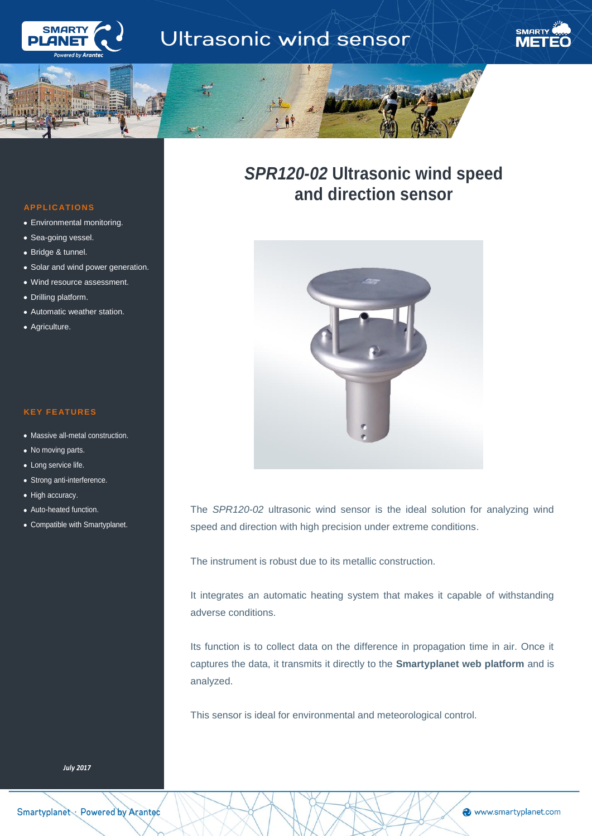



# *SPR120-02* **Ultrasonic wind speed and direction sensor**



The *SPR120-02* ultrasonic wind sensor is the ideal solution for analyzing wind speed and direction with high precision under extreme conditions.

The instrument is robust due to its metallic construction.

It integrates an automatic heating system that makes it capable of withstanding adverse conditions.

Its function is to collect data on the difference in propagation time in air. Once it captures the data, it transmits it directly to the **Smartyplanet web platform** and is analyzed.

This sensor is ideal for environmental and meteorological control.

# **APPLIC ATIONS**

**SMART** 

ì

- Environmental monitoring.
- Sea-going vessel.
- Bridge & tunnel.
- Solar and wind power generation.
- Wind resource assessment.
- Drilling platform.
- Automatic weather station.
- Agriculture.

## **KEY FE ATURES**

- Massive all-metal construction.
- No moving parts.
- Long service life.
- Strong anti-interference.
- High accuracy.
- Auto-heated function.
- Compatible with Smartyplanet.

*July 2017*